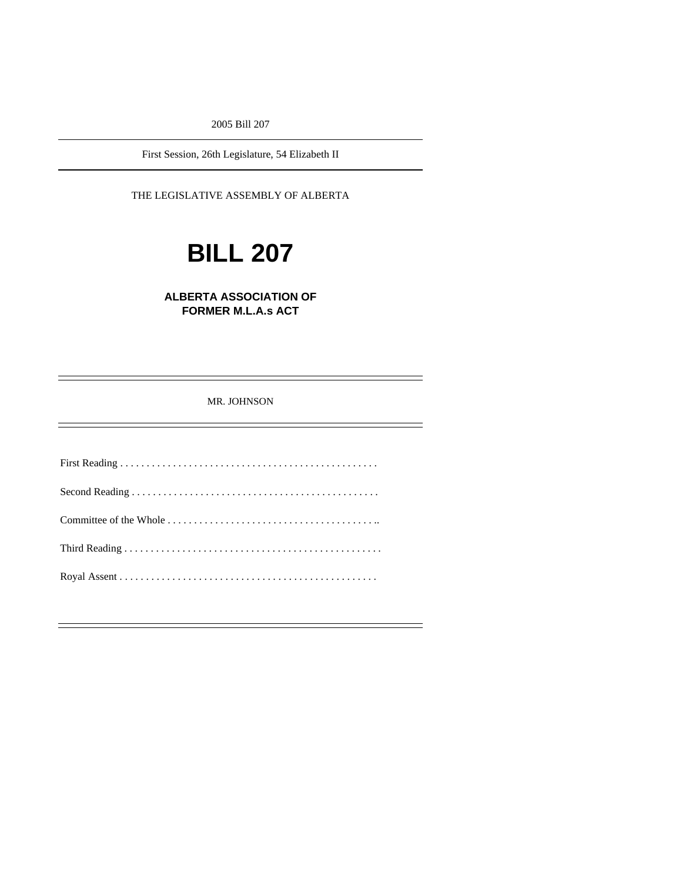2005 Bill 207

First Session, 26th Legislature, 54 Elizabeth II

THE LEGISLATIVE ASSEMBLY OF ALBERTA

# **BILL 207**

**ALBERTA ASSOCIATION OF FORMER M.L.A.s ACT** 

MR. JOHNSON

First Reading . . . . . . . . . . . . . . . . . . . . . . . . . . . . . . . . . . . . . . . . . . . . . . . . . Second Reading . . . . . . . . . . . . . . . . . . . . . . . . . . . . . . . . . . . . . . . . . . . . . . . Committee of the Whole . . . . . . . . . . . . . . . . . . . . . . . . . . . . . . . . . . . . . . . .. Third Reading . . . . . . . . . . . . . . . . . . . . . . . . . . . . . . . . . . . . . . . . . . . . . . . . . Royal Assent . . . . . . . . . . . . . . . . . . . . . . . . . . . . . . . . . . . . . . . . . . . . . . . . .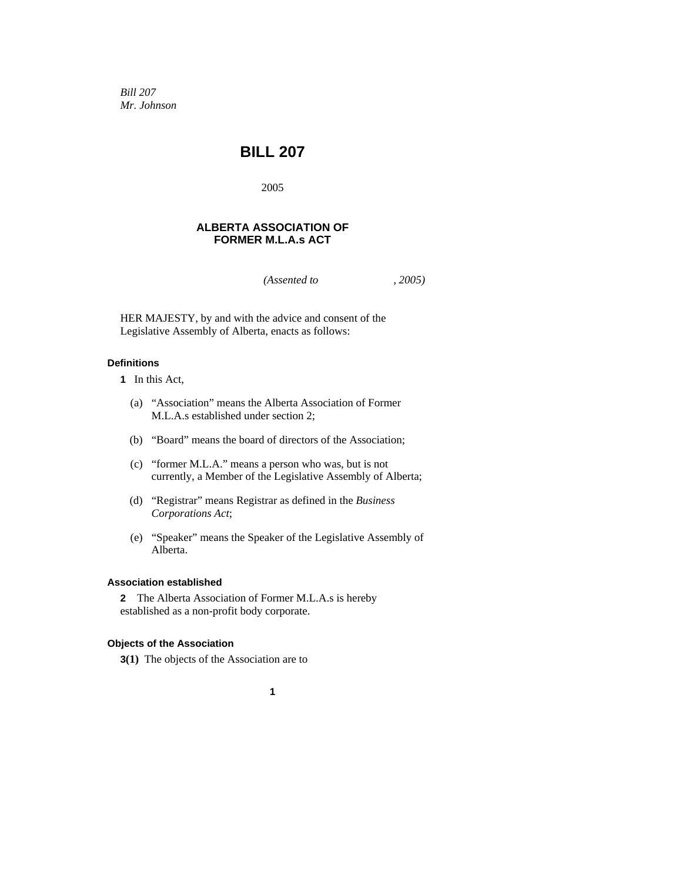*Bill 207 Mr. Johnson* 

# **BILL 207**

2005

# **ALBERTA ASSOCIATION OF FORMER M.L.A.s ACT**

*(Assented to , 2005)* 

HER MAJESTY, by and with the advice and consent of the Legislative Assembly of Alberta, enacts as follows:

# **Definitions**

- **1** In this Act,
	- (a) "Association" means the Alberta Association of Former M.L.A.s established under section 2;
	- (b) "Board" means the board of directors of the Association;
	- (c) "former M.L.A." means a person who was, but is not currently, a Member of the Legislative Assembly of Alberta;
	- (d) "Registrar" means Registrar as defined in the *Business Corporations Act*;
	- (e) "Speaker" means the Speaker of the Legislative Assembly of Alberta.

### **Association established**

**2** The Alberta Association of Former M.L.A.s is hereby established as a non-profit body corporate.

# **Objects of the Association**

**3(1)** The objects of the Association are to

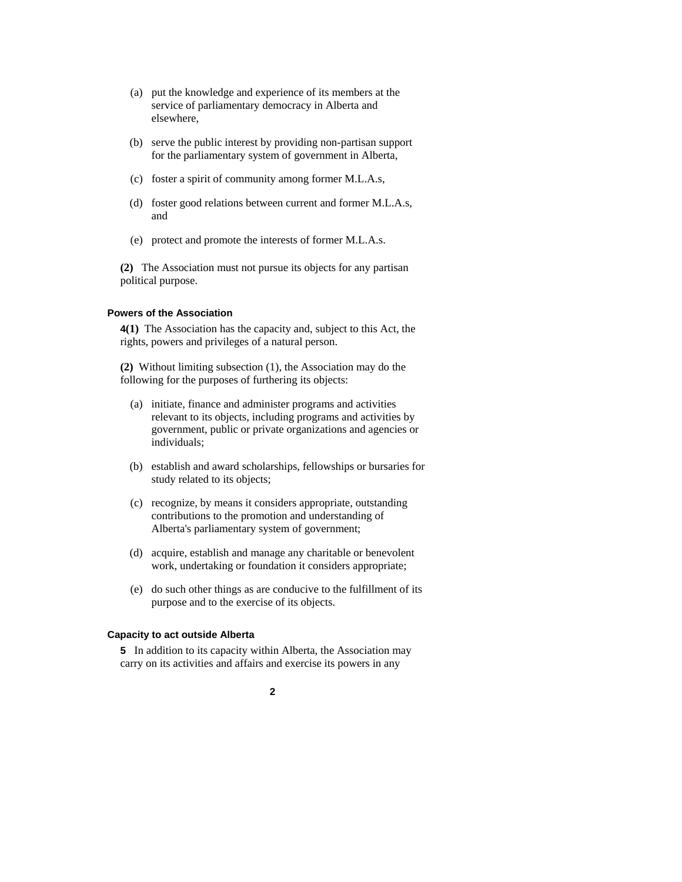- (a) put the knowledge and experience of its members at the service of parliamentary democracy in Alberta and elsewhere,
- (b) serve the public interest by providing non-partisan support for the parliamentary system of government in Alberta,
- (c) foster a spirit of community among former M.L.A.s,
- (d) foster good relations between current and former M.L.A.s, and
- (e) protect and promote the interests of former M.L.A.s.

**(2)** The Association must not pursue its objects for any partisan political purpose.

# **Powers of the Association**

**4(1)** The Association has the capacity and, subject to this Act, the rights, powers and privileges of a natural person.

**(2)** Without limiting subsection (1), the Association may do the following for the purposes of furthering its objects:

- (a) initiate, finance and administer programs and activities relevant to its objects, including programs and activities by government, public or private organizations and agencies or individuals;
- (b) establish and award scholarships, fellowships or bursaries for study related to its objects;
- (c) recognize, by means it considers appropriate, outstanding contributions to the promotion and understanding of Alberta's parliamentary system of government;
- (d) acquire, establish and manage any charitable or benevolent work, undertaking or foundation it considers appropriate;
- (e) do such other things as are conducive to the fulfillment of its purpose and to the exercise of its objects.

#### **Capacity to act outside Alberta**

**5** In addition to its capacity within Alberta, the Association may carry on its activities and affairs and exercise its powers in any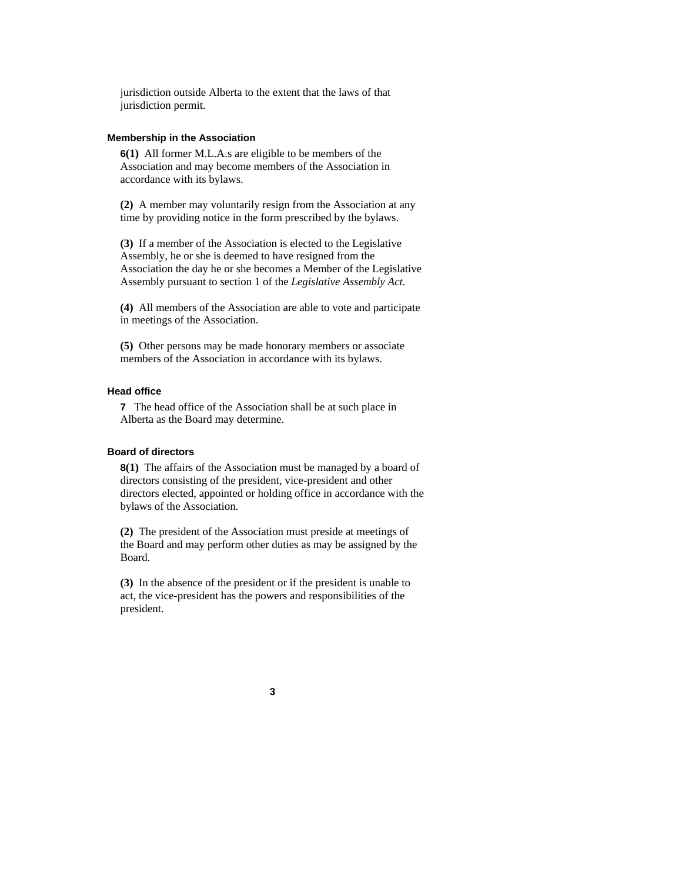jurisdiction outside Alberta to the extent that the laws of that jurisdiction permit.

#### **Membership in the Association**

**6(1)** All former M.L.A.s are eligible to be members of the Association and may become members of the Association in accordance with its bylaws.

**(2)** A member may voluntarily resign from the Association at any time by providing notice in the form prescribed by the bylaws.

**(3)** If a member of the Association is elected to the Legislative Assembly, he or she is deemed to have resigned from the Association the day he or she becomes a Member of the Legislative Assembly pursuant to section 1 of the *Legislative Assembly Act.*

**(4)** All members of the Association are able to vote and participate in meetings of the Association.

**(5)** Other persons may be made honorary members or associate members of the Association in accordance with its bylaws.

#### **Head office**

**7** The head office of the Association shall be at such place in Alberta as the Board may determine.

#### **Board of directors**

**8(1)** The affairs of the Association must be managed by a board of directors consisting of the president, vice-president and other directors elected, appointed or holding office in accordance with the bylaws of the Association.

**(2)** The president of the Association must preside at meetings of the Board and may perform other duties as may be assigned by the Board.

**(3)** In the absence of the president or if the president is unable to act, the vice-president has the powers and responsibilities of the president.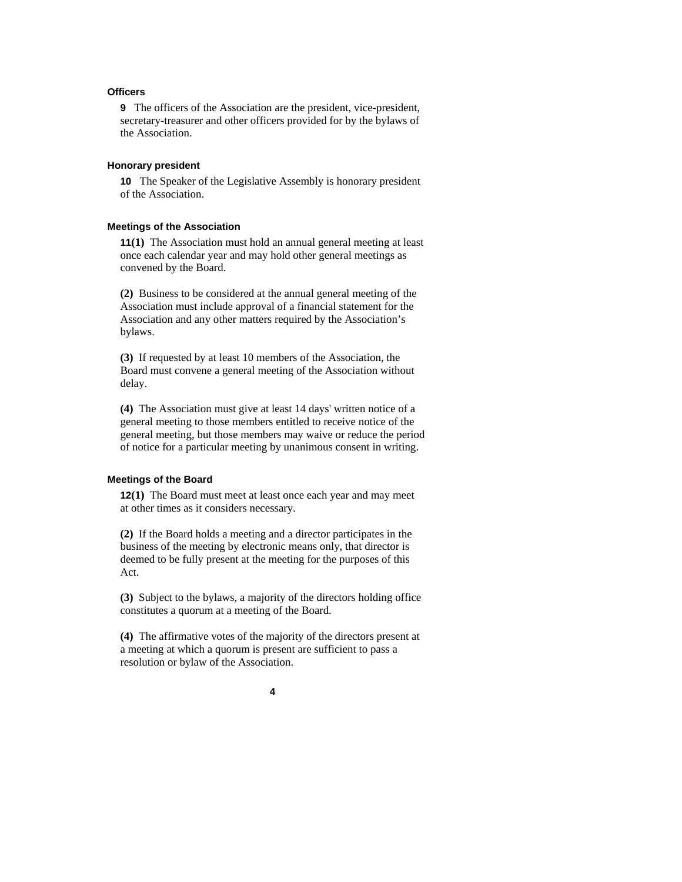# **Officers**

**9** The officers of the Association are the president, vice-president, secretary-treasurer and other officers provided for by the bylaws of the Association.

#### **Honorary president**

**10** The Speaker of the Legislative Assembly is honorary president of the Association.

#### **Meetings of the Association**

**11(1)** The Association must hold an annual general meeting at least once each calendar year and may hold other general meetings as convened by the Board.

**(2)** Business to be considered at the annual general meeting of the Association must include approval of a financial statement for the Association and any other matters required by the Association's bylaws.

**(3)** If requested by at least 10 members of the Association, the Board must convene a general meeting of the Association without delay.

**(4)** The Association must give at least 14 days' written notice of a general meeting to those members entitled to receive notice of the general meeting, but those members may waive or reduce the period of notice for a particular meeting by unanimous consent in writing.

#### **Meetings of the Board**

**12(1)** The Board must meet at least once each year and may meet at other times as it considers necessary.

**(2)** If the Board holds a meeting and a director participates in the business of the meeting by electronic means only, that director is deemed to be fully present at the meeting for the purposes of this Act.

**(3)** Subject to the bylaws, a majority of the directors holding office constitutes a quorum at a meeting of the Board.

**(4)** The affirmative votes of the majority of the directors present at a meeting at which a quorum is present are sufficient to pass a resolution or bylaw of the Association.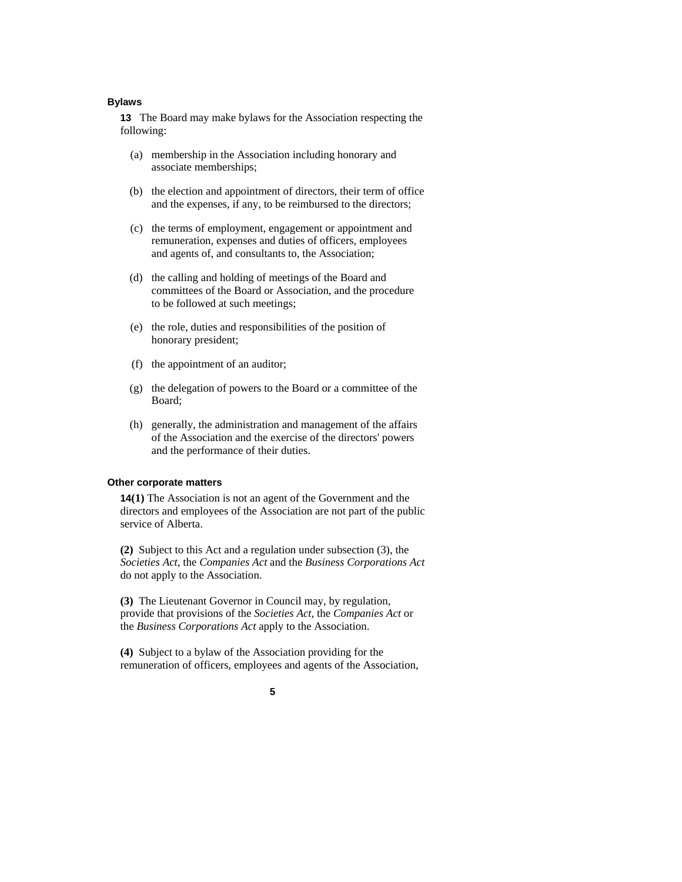#### **Bylaws**

**13** The Board may make bylaws for the Association respecting the following:

- (a) membership in the Association including honorary and associate memberships;
- (b) the election and appointment of directors, their term of office and the expenses, if any, to be reimbursed to the directors;
- (c) the terms of employment, engagement or appointment and remuneration, expenses and duties of officers, employees and agents of, and consultants to, the Association;
- (d) the calling and holding of meetings of the Board and committees of the Board or Association, and the procedure to be followed at such meetings;
- (e) the role, duties and responsibilities of the position of honorary president;
- (f) the appointment of an auditor;
- (g) the delegation of powers to the Board or a committee of the Board;
- (h) generally, the administration and management of the affairs of the Association and the exercise of the directors' powers and the performance of their duties.

### **Other corporate matters**

**14(1)** The Association is not an agent of the Government and the directors and employees of the Association are not part of the public service of Alberta.

**(2)** Subject to this Act and a regulation under subsection (3), the *Societies Act*, the *Companies Act* and the *Business Corporations Act* do not apply to the Association.

**(3)** The Lieutenant Governor in Council may, by regulation, provide that provisions of the *Societies Act*, the *Companies Act* or the *Business Corporations Act* apply to the Association.

**(4)** Subject to a bylaw of the Association providing for the remuneration of officers, employees and agents of the Association,

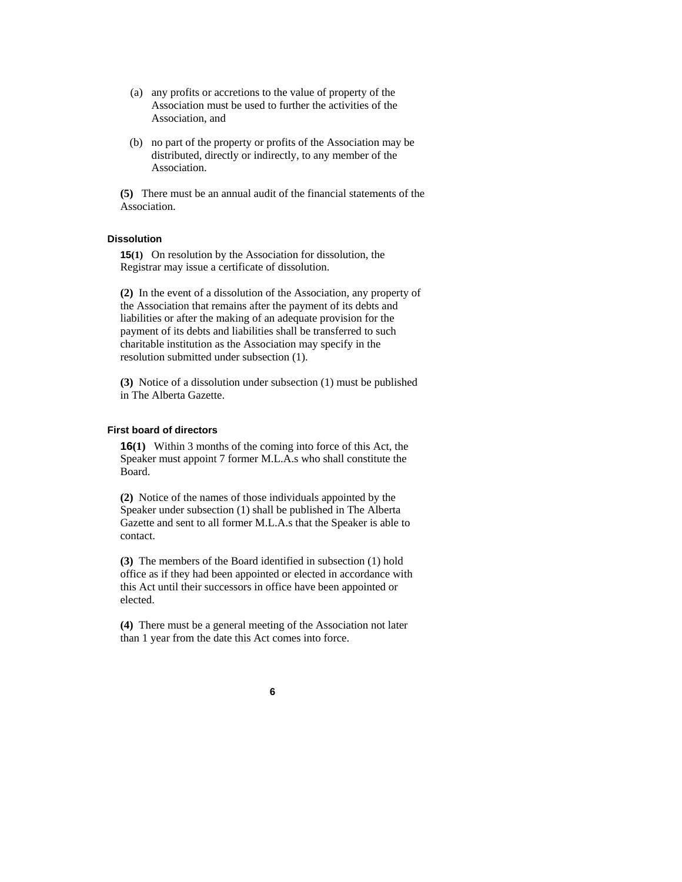- (a) any profits or accretions to the value of property of the Association must be used to further the activities of the Association, and
- (b) no part of the property or profits of the Association may be distributed, directly or indirectly, to any member of the Association.

**(5)** There must be an annual audit of the financial statements of the Association.

# **Dissolution**

**15(1)** On resolution by the Association for dissolution, the Registrar may issue a certificate of dissolution.

**(2)** In the event of a dissolution of the Association, any property of the Association that remains after the payment of its debts and liabilities or after the making of an adequate provision for the payment of its debts and liabilities shall be transferred to such charitable institution as the Association may specify in the resolution submitted under subsection (1).

**(3)** Notice of a dissolution under subsection (1) must be published in The Alberta Gazette.

# **First board of directors**

**16(1)** Within 3 months of the coming into force of this Act, the Speaker must appoint 7 former M.L.A.s who shall constitute the Board.

**(2)** Notice of the names of those individuals appointed by the Speaker under subsection (1) shall be published in The Alberta Gazette and sent to all former M.L.A.s that the Speaker is able to contact.

**(3)** The members of the Board identified in subsection (1) hold office as if they had been appointed or elected in accordance with this Act until their successors in office have been appointed or elected.

**(4)** There must be a general meeting of the Association not later than 1 year from the date this Act comes into force.